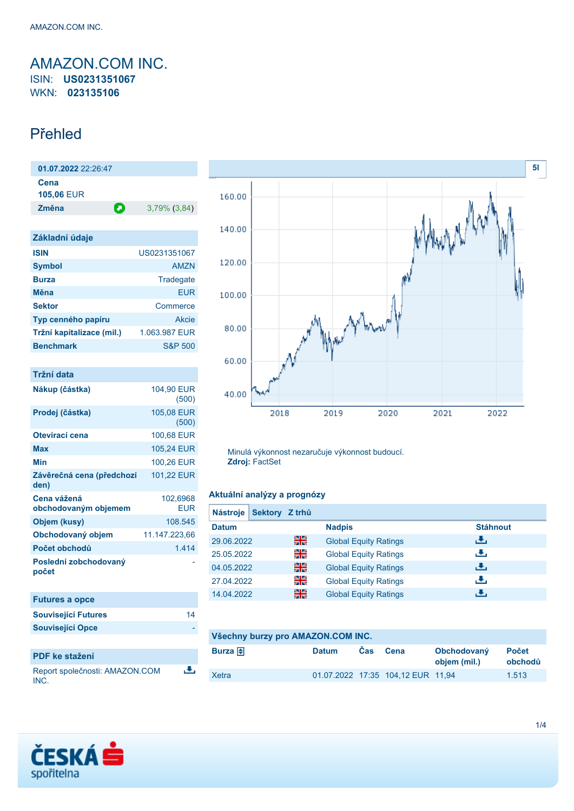# <span id="page-0-0"></span>AMAZON.COM INC. ISIN: **US0231351067** WKN: **023135106**

# Přehled

| $01.07.2022$ 22:26:47     |   |              |
|---------------------------|---|--------------|
| Cena<br><b>105,06 EUR</b> |   |              |
| Změna                     | О | 3,79% (3,84) |

| Základní údaje            |                    |
|---------------------------|--------------------|
| <b>ISIN</b>               | US0231351067       |
| <b>Symbol</b>             | <b>AMZN</b>        |
| <b>Burza</b>              | Tradegate          |
| <b>M</b> ěna              | FUR                |
| <b>Sektor</b>             | Commerce           |
| Typ cenného papíru        | Akcie              |
| Tržní kapitalizace (mil.) | 1.063.987 EUR      |
| <b>Benchmark</b>          | <b>S&amp;P 500</b> |

| Tržní data                          |                        |
|-------------------------------------|------------------------|
| Nákup (částka)                      | 104,90 EUR<br>(500)    |
| Prodej (částka)                     | 105,08 EUR<br>(500)    |
| Otevírací cena                      | 100,68 EUR             |
| Max                                 | 105,24 EUR             |
| Min                                 | 100,26 EUR             |
| Závěrečná cena (předchozí<br>den)   | 101,22 EUR             |
| Cena vážená<br>obchodovaným objemem | 102,6968<br><b>EUR</b> |
| Objem (kusy)                        | 108.545                |
| Obchodovaný objem                   | 11.147.223,66          |
| Počet obchodů                       | 1.414                  |
| Poslední zobchodovaný<br>počet      |                        |
| Eutures a open                      |                        |

| <b>I ULUIGO A UNUG</b>                 |    |
|----------------------------------------|----|
| <b>Související Futures</b>             | 14 |
| <b>Související Opce</b>                |    |
|                                        |    |
| <b>PDF</b> ke stažení                  |    |
| Report společnosti: AMAZON.COM<br>INC. | 决  |



Minulá výkonnost nezaručuje výkonnost budoucí. **Zdroj:** FactSet

### **Aktuální analýzy a prognózy**

| <b>Nástroje</b> | <b>Sektory</b> | <b>Z</b> trhů |                              |                 |
|-----------------|----------------|---------------|------------------------------|-----------------|
| <b>Datum</b>    |                |               | <b>Nadpis</b>                | <b>Stáhnout</b> |
| 29.06.2022      |                | 噐             | <b>Global Equity Ratings</b> | رنان            |
| 25.05.2022      |                | 꾉             | <b>Global Equity Ratings</b> | رنان            |
| 04.05.2022      |                | 噐             | <b>Global Equity Ratings</b> | J.              |
| 27.04.2022      |                | 꾉             | <b>Global Equity Ratings</b> | رنان            |
| 14.04.2022      |                | 噐             | <b>Global Equity Ratings</b> | J.              |

| Všechny burzy pro AMAZON.COM INC. |              |            |                                   |                             |                         |
|-----------------------------------|--------------|------------|-----------------------------------|-----------------------------|-------------------------|
| Burza $\bigoplus$                 | <b>Datum</b> | <b>Cas</b> | Cena                              | Obchodovaný<br>objem (mil.) | <b>Počet</b><br>obchodů |
| Xetra                             |              |            | 01.07.2022 17:35 104,12 EUR 11,94 |                             | 1.513                   |

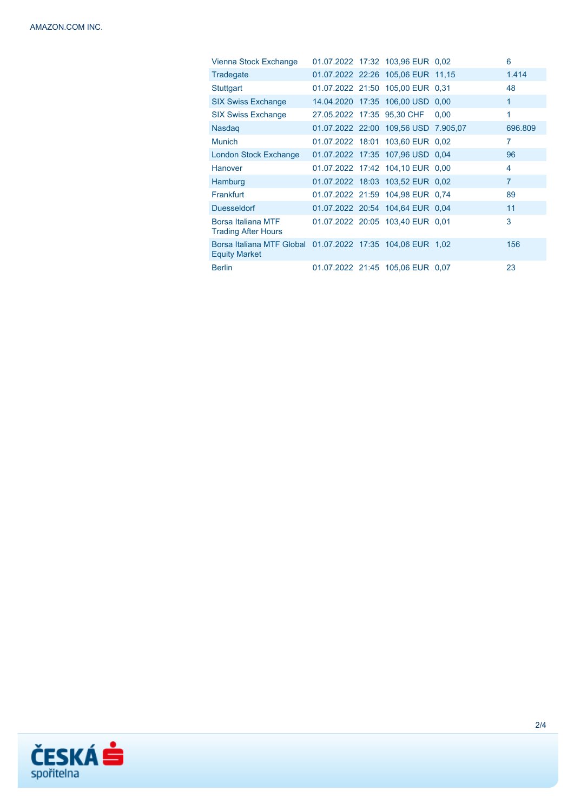| Vienna Stock Exchange                                                              |  | 01.07.2022 17:32 103,96 EUR 0.02     |      | 6              |
|------------------------------------------------------------------------------------|--|--------------------------------------|------|----------------|
| Tradegate                                                                          |  | 01.07.2022 22:26 105,06 EUR 11,15    |      | 1.414          |
| Stuttgart                                                                          |  | 01.07.2022 21:50 105,00 EUR 0,31     |      | 48             |
| <b>SIX Swiss Exchange</b>                                                          |  | 14.04.2020 17:35 106,00 USD 0,00     |      | 1              |
| <b>SIX Swiss Exchange</b>                                                          |  | 27.05.2022 17:35 95,30 CHF           | 0.00 | 1              |
| <b>Nasdag</b>                                                                      |  | 01.07.2022 22:00 109.56 USD 7.905.07 |      | 696,809        |
| <b>Munich</b>                                                                      |  | 01.07.2022 18:01 103,60 EUR 0.02     |      | 7              |
| London Stock Exchange                                                              |  | 01.07.2022 17:35 107,96 USD 0.04     |      | 96             |
| Hanover                                                                            |  | 01.07.2022 17:42 104,10 EUR 0.00     |      | 4              |
| Hamburg                                                                            |  | 01.07.2022 18:03 103,52 EUR 0.02     |      | $\overline{7}$ |
| Frankfurt                                                                          |  | 01.07.2022 21:59 104,98 EUR 0.74     |      | 89             |
| <b>Duesseldorf</b>                                                                 |  | 01.07.2022 20:54 104,64 EUR 0.04     |      | 11             |
| Borsa Italiana MTF<br><b>Trading After Hours</b>                                   |  | 01.07.2022 20:05 103,40 EUR 0,01     |      | 3              |
| Borsa Italiana MTF Global 01.07.2022 17:35 104.06 EUR 1.02<br><b>Equity Market</b> |  |                                      |      | 156            |
| <b>Berlin</b>                                                                      |  | 01.07.2022 21:45 105,06 EUR 0.07     |      | 23             |

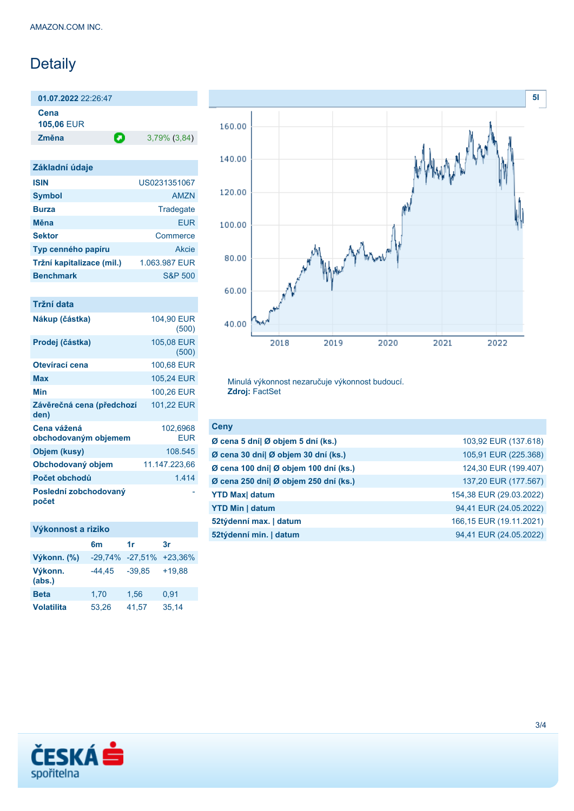# Detaily

**01.07.2022** 22:26:47

**Cena 105,06** EUR

**Změna** 3,79% (3,84)

| Základní údaje            |                    |
|---------------------------|--------------------|
| <b>ISIN</b>               | US0231351067       |
| <b>Symbol</b>             | AM7N               |
| <b>Burza</b>              | Tradegate          |
| Měna                      | FUR                |
| <b>Sektor</b>             | Commerce           |
| Typ cenného papíru        | Akcie              |
| Tržní kapitalizace (mil.) | 1.063.987 EUR      |
| <b>Benchmark</b>          | <b>S&amp;P 500</b> |

### **Tržní data**

| Nákup (částka)                      | 104.90 EUR<br>(500) |
|-------------------------------------|---------------------|
| Prodej (částka)                     | 105,08 EUR<br>(500) |
| Otevírací cena                      | 100,68 EUR          |
| Max                                 | 105,24 EUR          |
| Min                                 | 100,26 EUR          |
| Závěrečná cena (předchozí<br>den)   | 101,22 EUR          |
| Cena vážená<br>obchodovaným objemem | 102,6968<br>EUR     |
| Objem (kusy)                        | 108.545             |
| Obchodovaný objem                   | 11.147.223,66       |
| Počet obchodů                       | 1.414               |
| Poslední zobchodovaný<br>počet      |                     |



Minulá výkonnost nezaručuje výkonnost budoucí. **Zdroj:** FactSet

| 103,92 EUR (137.618)    |
|-------------------------|
| 105,91 EUR (225.368)    |
| 124,30 EUR (199.407)    |
| 137,20 EUR (177.567)    |
| 154,38 EUR (29.03.2022) |
| 94,41 EUR (24.05.2022)  |
| 166,15 EUR (19.11.2021) |
| 94,41 EUR (24.05.2022)  |
|                         |

# **Výkonnost a riziko**

|                   | 6m     | 1r                      | 3r       |
|-------------------|--------|-------------------------|----------|
| Výkonn. (%)       |        | -29,74% -27,51% +23,36% |          |
| Výkonn.<br>(abs.) | -44.45 | $-39.85$                | $+19.88$ |
| <b>Beta</b>       | 1,70   | 1,56                    | 0,91     |
| <b>Volatilita</b> | 53,26  | 41,57                   | 35,14    |